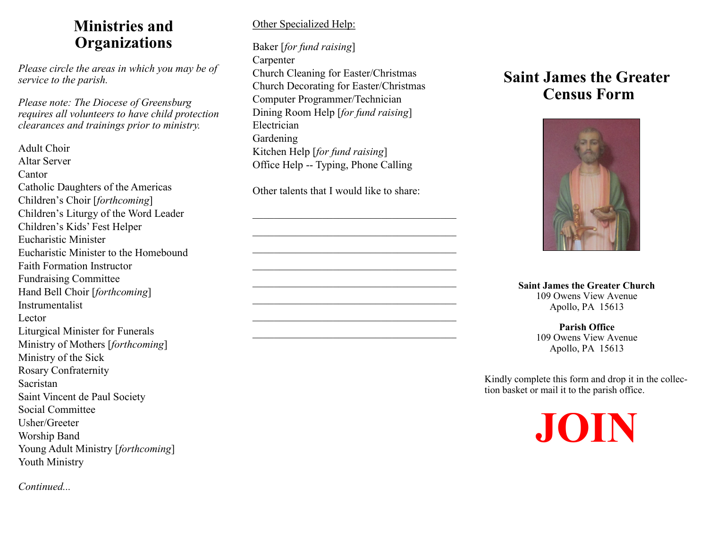## **Ministries and Organizations**

*Please circle the areas in which you may be of service to the parish.*

*Please note: The Diocese of Greensburg requires all volunteers to have child protection clearances and trainings prior to ministry.*

Adult Choir Altar Server Cantor Catholic Daughters of the Americas Children's Choir [*forthcoming*] Children's Liturgy of the Word Leader Children's Kids' Fest Helper Eucharistic Minister Eucharistic Minister to the Homebound Faith Formation Instructor Fundraising Committee Hand Bell Choir [*forthcoming*] Instrumentalist Lector Liturgical Minister for Funerals Ministry of Mothers [*forthcoming*] Ministry of the Sick Rosary Confraternity Sacristan Saint Vincent de Paul Society Social Committee Usher/Greeter Worship Band Young Adult Ministry [*forthcoming*] Youth Ministry

*Continued...*

## Other Specialized Help:

Baker [*for fund raising*] Carpenter Church Cleaning for Easter/Christmas Church Decorating for Easter/Christmas Computer Programmer/Technician Dining Room Help [*for fund raising*] Electrician Gardening Kitchen Help [*for fund raising*] Office Help -- Typing, Phone Calling

Other talents that I would like to share:

## **Saint James the Greater Census Form**



**Saint James the Greater Church** 109 Owens View Avenue Apollo, PA 15613

> **Parish Office** 109 Owens View Avenue Apollo, PA 15613

Kindly complete this form and drop it in the collection basket or mail it to the parish office.

**JOIN**